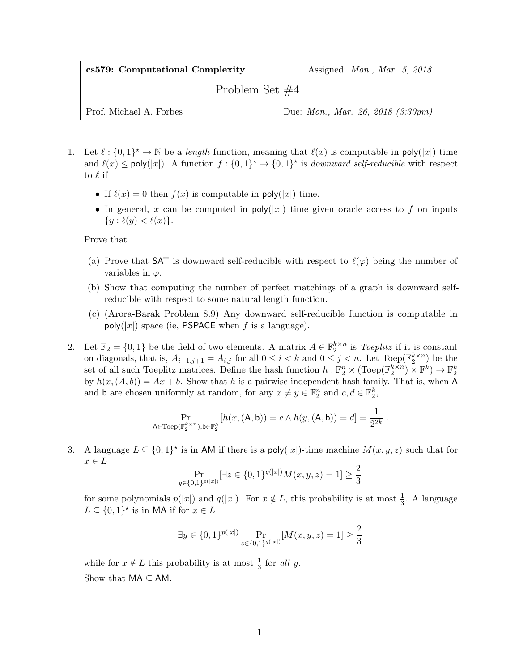cs579: Computational Complexity Assigned: Mon., Mar. 5, 2018

Problem Set #4

Prof. Michael A. Forbes Due: *Mon.*, *Mar. 26, 2018 (3:30pm)* 

- 1. Let  $\ell : \{0,1\}^* \to \mathbb{N}$  be a length function, meaning that  $\ell(x)$  is computable in poly(|x|) time and  $\ell(x) \leq \text{poly}(|x|)$ . A function  $f: \{0,1\}^* \to \{0,1\}^*$  is *downward self-reducible* with respect to  $\ell$  if
	- If  $\ell(x) = 0$  then  $f(x)$  is computable in poly(|x|) time.
	- In general, x can be computed in  $poly(|x|)$  time given oracle access to f on inputs  $\{y : \ell(y) < \ell(x)\}.$

Prove that

- (a) Prove that SAT is downward self-reducible with respect to  $\ell(\varphi)$  being the number of variables in  $\varphi$ .
- (b) Show that computing the number of perfect matchings of a graph is downward selfreducible with respect to some natural length function.
- (c) (Arora-Barak Problem 8.9) Any downward self-reducible function is computable in poly(|x|) space (ie, PSPACE when f is a language).
- 2. Let  $\mathbb{F}_2 = \{0,1\}$  be the field of two elements. A matrix  $A \in \mathbb{F}_2^{k \times n}$  is Toeplitz if it is constant on diagonals, that is,  $A_{i+1,j+1} = A_{i,j}$  for all  $0 \leq i < k$  and  $0 \leq j < n$ . Let  $Toep(\mathbb{F}_2^{k \times n})$  be the set of all such Toeplitz matrices. Define the hash function  $h: \mathbb{F}_2^n \times (\text{Toep}(\mathbb{F}_2^{k \times n}) \times \mathbb{F}^k) \to \mathbb{F}_2^k$ by  $h(x,(A, b)) = Ax + b$ . Show that h is a pairwise independent hash family. That is, when A and **b** are chosen uniformly at random, for any  $x \neq y \in \mathbb{F}_2^n$  and  $c, d \in \mathbb{F}_2^k$ ,

$$
\Pr_{\mathsf{A}\in \operatorname{Toep}(\mathbb{F}_2^{k\times n}), \mathsf{b}\in \mathbb{F}_2^k} [h(x,(\mathsf{A},\mathsf{b})) = c \land h(y,(\mathsf{A},\mathsf{b})) = d] = \frac{1}{2^{2k}}.
$$

3. A language  $L \subseteq \{0,1\}^*$  is in AM if there is a poly(|x|)-time machine  $M(x, y, z)$  such that for  $x \in L$ 

$$
\Pr_{y \in \{0,1\}^{p(|x|)}}[\exists z \in \{0,1\}^{q(|x|)} M(x,y,z) = 1] \ge \frac{2}{3}
$$

for some polynomials  $p(|x|)$  and  $q(|x|)$ . For  $x \notin L$ , this probability is at most  $\frac{1}{3}$ . A language  $L \subseteq \{0,1\}^*$  is in MA if for  $x \in L$ 

$$
\exists y \in \{0,1\}^{p(|x|)} \Pr_{z \in \{0,1\}^{q(|x|)}}[M(x,y,z) = 1] \geq \frac{2}{3}
$$

while for  $x \notin L$  this probability is at most  $\frac{1}{3}$  for all y. Show that  $MA \subset AM$ .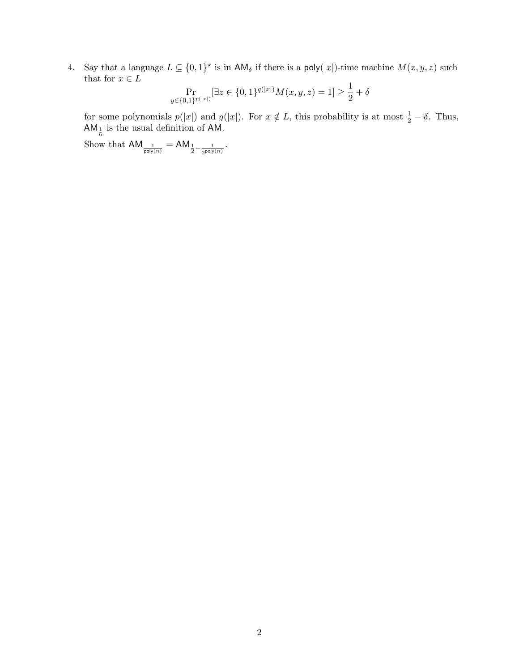4. Say that a language  $L \subseteq \{0,1\}^*$  is in  $\mathsf{AM}_\delta$  if there is a poly(|x|)-time machine  $M(x, y, z)$  such that for  $x\in L$ 

$$
\Pr_{y \in \{0,1\}^{p(|x|)}}[\exists z \in \{0,1\}^{q(|x|)} M(x,y,z) = 1] \ge \frac{1}{2} + \delta
$$

for some polynomials  $p(|x|)$  and  $q(|x|)$ . For  $x \notin L$ , this probability is at most  $\frac{1}{2} - \delta$ . Thus,  $AM_{\frac{1}{6}}$  is the usual definition of AM.

Show that  $AM_{\frac{1}{\text{poly}(n)}} = AM_{\frac{1}{2} - \frac{1}{2^{\text{poly}(n)}}}.$